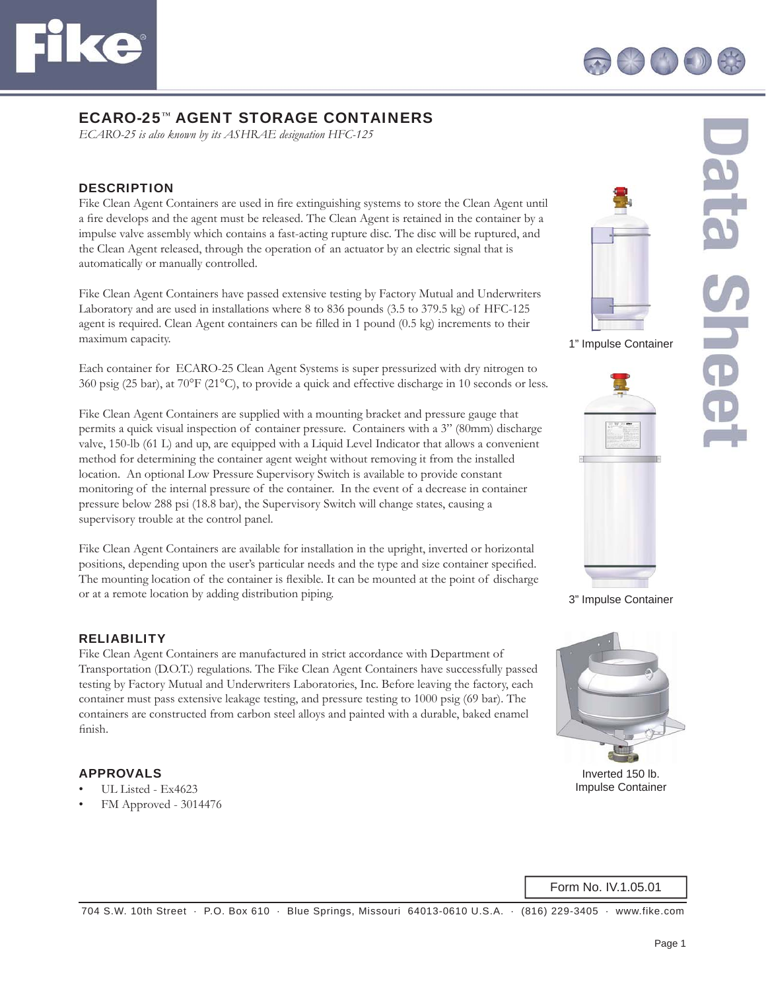



# ECARO-25™ AGENT STORAGE CONTAINERS

*ECARO-25 is also known by its ASHRAE designation HFC-125*

### **DESCRIPTION**

Fike Clean Agent Containers are used in fire extinguishing systems to store the Clean Agent until a fire develops and the agent must be released. The Clean Agent is retained in the container by a impulse valve assembly which contains a fast-acting rupture disc. The disc will be ruptured, and the Clean Agent released, through the operation of an actuator by an electric signal that is automatically or manually controlled.

Fike Clean Agent Containers have passed extensive testing by Factory Mutual and Underwriters Laboratory and are used in installations where 8 to 836 pounds (3.5 to 379.5 kg) of HFC-125 agent is required. Clean Agent containers can be filled in 1 pound (0.5 kg) increments to their maximum capacity.

Each container for ECARO-25 Clean Agent Systems is super pressurized with dry nitrogen to 360 psig (25 bar), at 70°F (21°C), to provide a quick and effective discharge in 10 seconds or less.

Fike Clean Agent Containers are supplied with a mounting bracket and pressure gauge that permits a quick visual inspection of container pressure. Containers with a 3" (80mm) discharge valve, 150-lb (61 L) and up, are equipped with a Liquid Level Indicator that allows a convenient method for determining the container agent weight without removing it from the installed location. An optional Low Pressure Supervisory Switch is available to provide constant monitoring of the internal pressure of the container. In the event of a decrease in container pressure below 288 psi (18.8 bar), the Supervisory Switch will change states, causing a supervisory trouble at the control panel.

Fike Clean Agent Containers are available for installation in the upright, inverted or horizontal positions, depending upon the user's particular needs and the type and size container specified. The mounting location of the container is flexible. It can be mounted at the point of discharge or at a remote location by adding distribution piping.

#### RELIABILITY

Fike Clean Agent Containers are manufactured in strict accordance with Department of Transportation (D.O.T.) regulations. The Fike Clean Agent Containers have successfully passed testing by Factory Mutual and Underwriters Laboratories, Inc. Before leaving the factory, each container must pass extensive leakage testing, and pressure testing to 1000 psig (69 bar). The containers are constructed from carbon steel alloys and painted with a durable, baked enamel finish.

#### APPROVALS

- UL Listed Ex4623
- FM Approved 3014476





1" Impulse Container





3" Impulse Container



Inverted 150 lb. Impulse Container

Form No. IV.1.05.01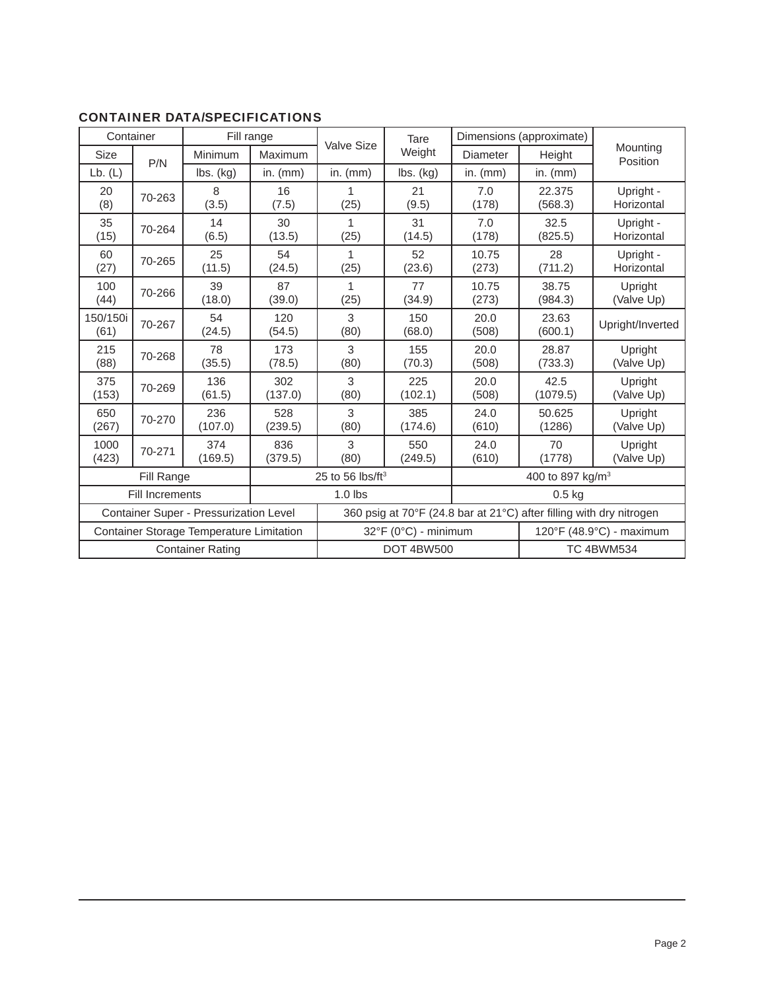| Container                                |        | Fill range     |                            |                                                                     | Tare                         | Dimensions (approximate) |                          |                         |  |
|------------------------------------------|--------|----------------|----------------------------|---------------------------------------------------------------------|------------------------------|--------------------------|--------------------------|-------------------------|--|
| Size                                     | P/N    | Minimum        | Maximum                    | <b>Valve Size</b>                                                   | Weight                       | <b>Diameter</b>          | Height                   | Mounting<br>Position    |  |
| Lb. (L)                                  |        | lbs. (kg)      | in. $(mm)$                 | in. $(mm)$                                                          | $\mathsf{lbs.}\mathsf{(kg)}$ | in. $(mm)$               | in. $(mm)$               |                         |  |
| 20<br>(8)                                | 70-263 | 8<br>(3.5)     | 16<br>(7.5)                | (25)                                                                | 21<br>(9.5)                  | 7.0<br>(178)             | 22.375<br>(568.3)        | Upright -<br>Horizontal |  |
| 35<br>(15)                               | 70-264 | 14<br>(6.5)    | 30<br>(13.5)               | 1<br>(25)                                                           | 31<br>(14.5)                 | 7.0<br>(178)             | 32.5<br>(825.5)          | Upright -<br>Horizontal |  |
| 60<br>(27)                               | 70-265 | 25<br>(11.5)   | 54<br>(24.5)               | 1<br>(25)                                                           | 52<br>(23.6)                 | 10.75<br>(273)           | 28<br>(711.2)            | Upright -<br>Horizontal |  |
| 100<br>(44)                              | 70-266 | 39<br>(18.0)   | 87<br>(39.0)               | 1<br>(25)                                                           | 77<br>(34.9)                 | 10.75<br>(273)           | 38.75<br>(984.3)         | Upright<br>(Valve Up)   |  |
| 150/150i<br>(61)                         | 70-267 | 54<br>(24.5)   | 120<br>(54.5)              | 3<br>(80)                                                           | 150<br>(68.0)                | 20.0<br>(508)            | 23.63<br>(600.1)         | Upright/Inverted        |  |
| 215<br>(88)                              | 70-268 | 78<br>(35.5)   | 173<br>(78.5)              | 3<br>(80)                                                           | 155<br>(70.3)                | 20.0<br>(508)            | 28.87<br>(733.3)         | Upright<br>(Valve Up)   |  |
| 375<br>(153)                             | 70-269 | 136<br>(61.5)  | 302<br>(137.0)             | 3<br>(80)                                                           | 225<br>(102.1)               | 20.0<br>(508)            | 42.5<br>(1079.5)         | Upright<br>(Valve Up)   |  |
| 650<br>(267)                             | 70-270 | 236<br>(107.0) | 528<br>(239.5)             | 3<br>(80)                                                           | 385<br>(174.6)               | 24.0<br>(610)            | 50.625<br>(1286)         | Upright<br>(Valve Up)   |  |
| 1000<br>(423)                            | 70-271 | 374<br>(169.5) | 836<br>(379.5)             | 3<br>(80)                                                           | 550<br>(249.5)               | 24.0<br>(610)            | 70<br>(1778)             | Upright<br>(Valve Up)   |  |
| Fill Range                               |        |                | 25 to 56 $\text{lbs/ft}^3$ |                                                                     | 400 to 897 kg/m <sup>3</sup> |                          |                          |                         |  |
| <b>Fill Increments</b>                   |        |                |                            | $1.0$ lbs                                                           |                              |                          | $0.5$ kg                 |                         |  |
| Container Super - Pressurization Level   |        |                |                            | 360 psig at 70°F (24.8 bar at 21°C) after filling with dry nitrogen |                              |                          |                          |                         |  |
| Container Storage Temperature Limitation |        |                |                            | $32^{\circ}F$ (0 $^{\circ}C$ ) - minimum                            |                              |                          | 120°F (48.9°C) - maximum |                         |  |
| <b>Container Rating</b>                  |        |                |                            | <b>DOT 4BW500</b>                                                   |                              |                          | <b>TC 4BWM534</b>        |                         |  |

## CONTAINER DATA/SPECIFICATIONS